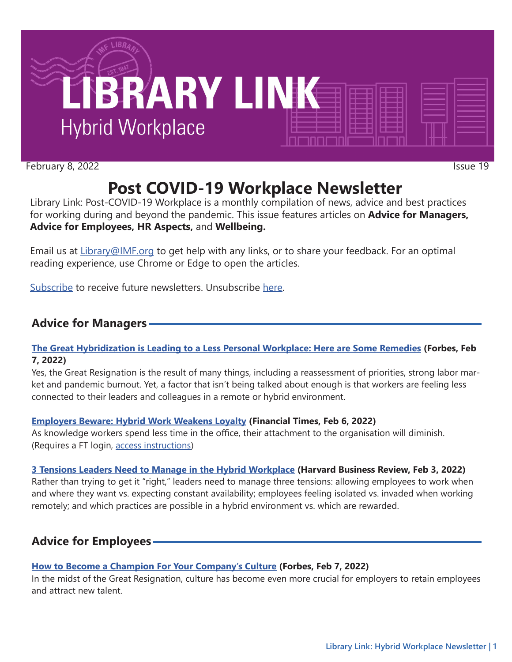

February 8, 2022 Issue 19

# **Post COVID-19 Workplace Newsletter**

Library Link: Post-COVID-19 Workplace is a monthly compilation of news, advice and best practices for working during and beyond the pandemic. This issue features articles on **Advice for Managers, Advice for Employees, HR Aspects,** and **Wellbeing.**

Email us at [Library@IMF.org](mailto:Library%40IMF.org?subject=) to get help with any links, or to share your feedback. For an optimal reading experience, use Chrome or Edge to open the articles.

[Subscribe](http://t.imfconnect.imf.org/lp/LP97?pkey=%402KtchV5yqwNdY3_Jf_1S9JA5zsdBVIn1F4Q5seFrxwX_F4oETu-WdBewaWoMDnrPbUqcsRuAlPfF14FScuj0kv8ab1U) to receive future newsletters. Unsubscribe [here.](http://t.imfconnect.imf.org/lp/LP98?pkey=%402KtchV5yqwNdY3_Jf_1S9JA5zsdBVIn1F4Q5seFrxwX_F4oETu-WdBewaWoMDnrPbUqcsRuAlPfF14FScuj0kv8ab1U)

# **Advice for Managers**

## **[The Great Hybridization is Leading to a Less Personal Workplace: Here are Some Remedies](http://t.imfconnect.imf.org/r/?id=h697033,32c6692,32c6c59) (Forbes, Feb 7, 2022)**

Yes, the Great Resignation is the result of many things, including a reassessment of priorities, strong labor market and pandemic burnout. Yet, a factor that isn't being talked about enough is that workers are feeling less connected to their leaders and colleagues in a remote or hybrid environment.

## **[Employers Beware: Hybrid Work Weakens Loyalty](http://t.imfconnect.imf.org/r/?id=h697033,32c6692,32c6c5a) (Financial Times, Feb 6, 2022)**

As knowledge workers spend less time in the office, their attachment to the organisation will diminish. (Requires a FT login, [access instructions](http://t.imfconnect.imf.org/r/?id=h697033,32c6692,32c6c5b))

# **[3 Tensions Leaders Need to Manage in the Hybrid Workplace](http://t.imfconnect.imf.org/r/?id=h697033,32c6692,32c6c5c) (Harvard Business Review, Feb 3, 2022)**

Rather than trying to get it "right," leaders need to manage three tensions: allowing employees to work when and where they want vs. expecting constant availability; employees feeling isolated vs. invaded when working remotely; and which practices are possible in a hybrid environment vs. which are rewarded.

# **Advice for Employees**

# **[How to Become a Champion For Your Company's Culture](http://t.imfconnect.imf.org/r/?id=h697033,32c6692,32c6c5d) (Forbes, Feb 7, 2022)**

In the midst of the Great Resignation, culture has become even more crucial for employers to retain employees and attract new talent.